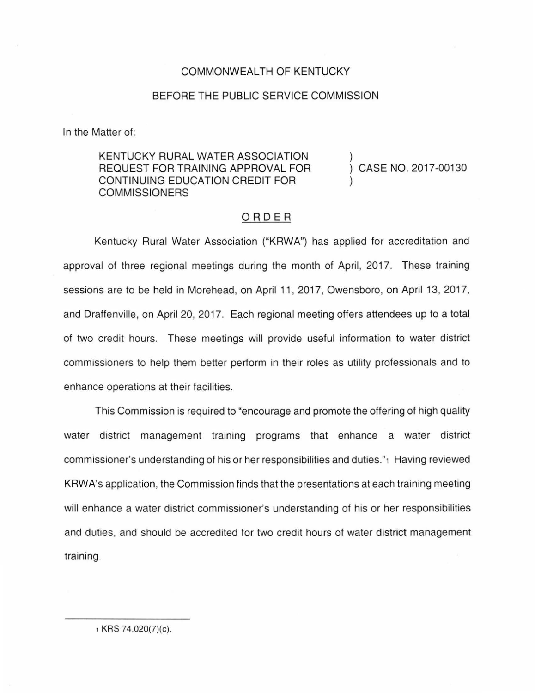## COMMONWEALTH OF KENTUCKY

## BEFORE THE PUBLIC SERVICE COMMISSION

In the Matter of:

KENTUCKY RURAL WATER ASSOCIATION REQUEST FOR TRAINING APPROVAL FOR CONTINUING EDUCATION CREDIT FOR **COMMISSIONERS** 

CASE NO. 2017-00130

## ORDER

Kentucky Rural Water Association ("KRWA") has applied for accreditation and approval of three regional meetings during the month of April, 2017. These training sessions are to be held in Morehead, on April 11, 2017, Owensboro, on April 13, 2017, and Dratfenville, on April 20, 2017. Each regional meeting offers attendees up to a total of two credit hours. These meetings will provide useful information to water district commissioners to help them better perform in their roles as utility professionals and to enhance operations at their facilities.

This Commission is required to "encourage and promote the offering of high quality water district management training programs that enhance a water district commissioner's understanding of his or her responsibilities and duties."1 Having reviewed KRWA's application, the Commission finds that the presentations at each training meeting will enhance a water district commissioner's understanding of his or her responsibilities and duties, and should be accredited for two credit hours of water district management training.

, KRS 74.020(7)(c).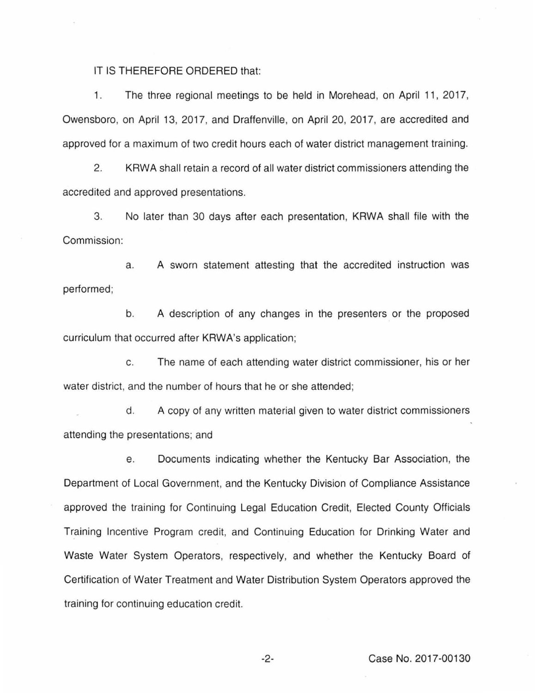IT IS THEREFORE ORDERED that:

1. The three regional meetings to be held in Morehead, on April 11, 2017, Owensboro, on April 13, 2017, and Draffenville, on April 20, 2017, are accredited and approved for a maximum of two credit hours each of water district management training.

2. KRWA shall retain a record of all water district commissioners attending the accredited and approved presentations.

3. No later than 30 days after each presentation, KRWA shall file with the Commission:

a. A sworn statement attesting that the accredited instruction was performed;

b. A description of any changes in the presenters or the proposed curriculum that occurred after KRWA's application;

c. The name of each attending water district commissioner, his or her water district, and the number of hours that he or she attended;

d. A copy of any written material given to water district commissioners attending the presentations; and

e. Documents indicating whether the Kentucky Bar Association, the Department of Local Government, and the Kentucky Division of Compliance Assistance approved the training for Continuing Legal Education Credit, Elected County Officials Training Incentive Program credit, and Continuing Education for Drinking Water and Waste Water System Operators, respectively, and whether the Kentucky Board of Certification of Water Treatment and Water Distribution System Operators approved the training for continuing education credit.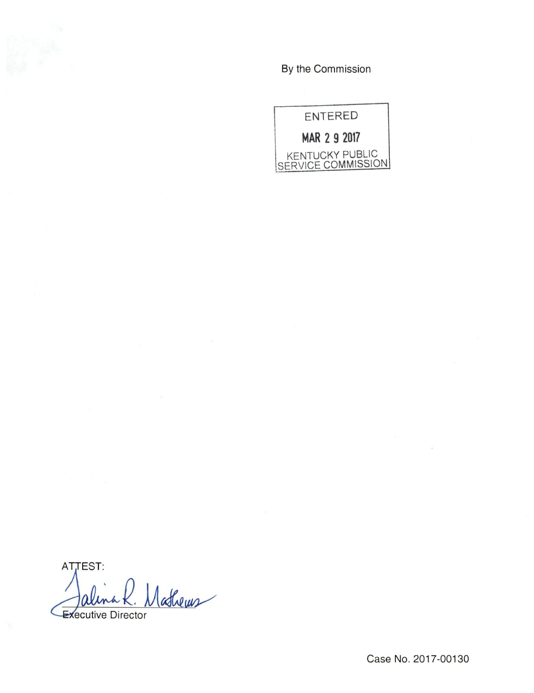By the Commission

**ENTERED** MAR 2 9 2017 KENTUCKY PUBLIC<br>SERVICE COMMISSION

ATTEST: Mathems Executive Director